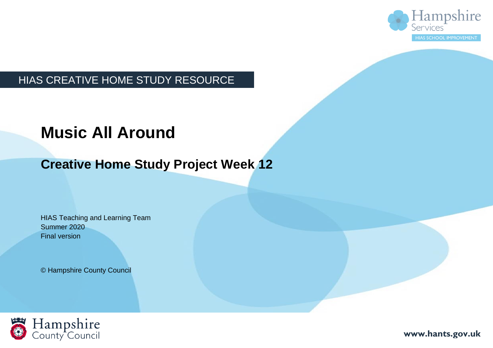

### HIAS CREATIVE HOME STUDY RESOURCE

## **Music All Around**

## **Creative Home Study Project Week 12**

HIAS Teaching and Learning Team Summer 2020 Final version

© Hampshire County Council



**www.hants.gov.uk**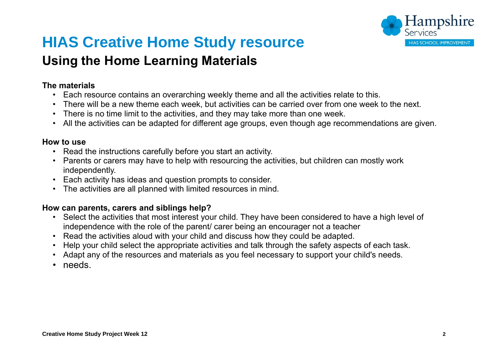

## **HIAS Creative Home Study resource**

## **Using the Home Learning Materials**

#### **The materials**

- Each resource contains an overarching weekly theme and all the activities relate to this.
- There will be a new theme each week, but activities can be carried over from one week to the next.
- There is no time limit to the activities, and they may take more than one week.
- All the activities can be adapted for different age groups, even though age recommendations are given.

#### **How to use**

- Read the instructions carefully before you start an activity.
- Parents or carers may have to help with resourcing the activities, but children can mostly work independently.
- Each activity has ideas and question prompts to consider.
- The activities are all planned with limited resources in mind.

#### **How can parents, carers and siblings help?**

- Select the activities that most interest your child. They have been considered to have a high level of independence with the role of the parent/ carer being an encourager not a teacher
- Read the activities aloud with your child and discuss how they could be adapted.
- Help your child select the appropriate activities and talk through the safety aspects of each task.
- Adapt any of the resources and materials as you feel necessary to support your child's needs.
- needs.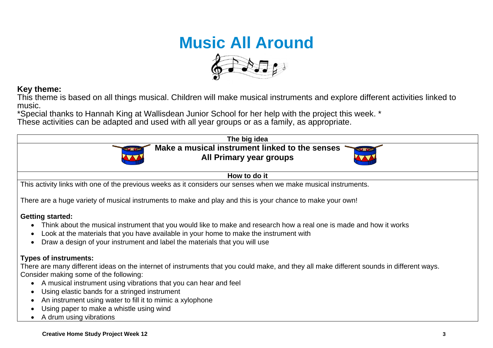# **Music All Around**



#### **Key theme:**

This theme is based on all things musical. Children will make musical instruments and explore different activities linked to music.

\*Special thanks to Hannah King at Wallisdean Junior School for her help with the project this week. \*

These activities can be adapted and used with all year groups or as a family, as appropriate.

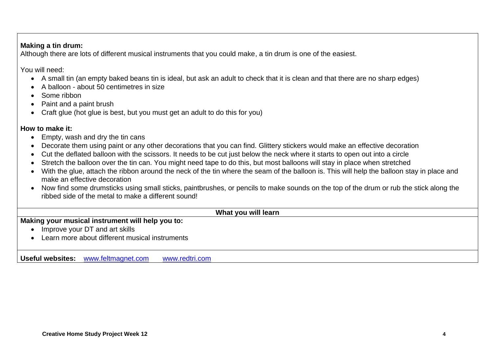#### **Making a tin drum:**

Although there are lots of different musical instruments that you could make, a tin drum is one of the easiest.

You will need:

- A small tin (an empty baked beans tin is ideal, but ask an adult to check that it is clean and that there are no sharp edges)
- A balloon about 50 centimetres in size
- Some ribbon
- Paint and a paint brush
- Craft glue (hot glue is best, but you must get an adult to do this for you)

#### **How to make it:**

- Empty, wash and dry the tin cans
- Decorate them using paint or any other decorations that you can find. Glittery stickers would make an effective decoration
- Cut the deflated balloon with the scissors. It needs to be cut just below the neck where it starts to open out into a circle
- Stretch the balloon over the tin can. You might need tape to do this, but most balloons will stay in place when stretched
- With the glue, attach the ribbon around the neck of the tin where the seam of the balloon is. This will help the balloon stay in place and make an effective decoration
- Now find some drumsticks using small sticks, paintbrushes, or pencils to make sounds on the top of the drum or rub the stick along the ribbed side of the metal to make a different sound!

#### **What you will learn**

**Making your musical instrument will help you to:**

- Improve your DT and art skills
- Learn more about different musical instruments

**Useful websites:** [www.feltmagnet.com](http://www.feltmagnet.com/) [www.redtri.com](http://www.redtri.com/)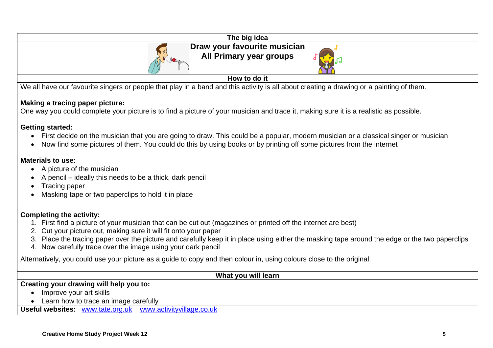

We all have our favourite singers or people that play in a band and this activity is all about creating a drawing or a painting of them.

#### **Making a tracing paper picture:**

One way you could complete your picture is to find a picture of your musician and trace it, making sure it is a realistic as possible.

#### **Getting started:**

- First decide on the musician that you are going to draw. This could be a popular, modern musician or a classical singer or musician
- Now find some pictures of them. You could do this by using books or by printing off some pictures from the internet

#### **Materials to use:**

- A picture of the musician
- A pencil ideally this needs to be a thick, dark pencil
- Tracing paper
- Masking tape or two paperclips to hold it in place

#### **Completing the activity:**

- 1. First find a picture of your musician that can be cut out (magazines or printed off the internet are best)
- 2. Cut your picture out, making sure it will fit onto your paper
- 3. Place the tracing paper over the picture and carefully keep it in place using either the masking tape around the edge or the two paperclips
- 4. Now carefully trace over the image using your dark pencil

Alternatively, you could use your picture as a guide to copy and then colour in, using colours close to the original.

#### **What you will learn**

#### **Creating your drawing will help you to:**

- Improve your art skills
- Learn how to trace an image carefully

**Useful websites:** [www.tate.org.uk](http://www.tate.org.uk/) [www.activityvillage.co.uk](http://www.activityvillage.co.uk/)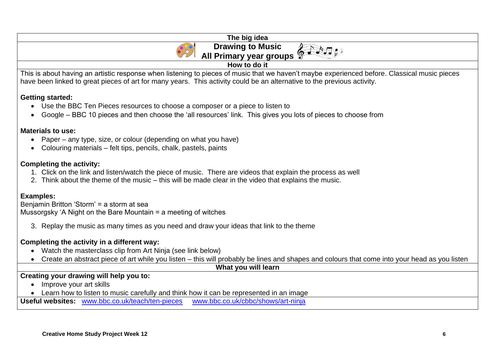| The big idea                                                                                                                                                                                                                                                            |
|-------------------------------------------------------------------------------------------------------------------------------------------------------------------------------------------------------------------------------------------------------------------------|
| <b>Drawing to Music</b>                                                                                                                                                                                                                                                 |
| All Primary year groups                                                                                                                                                                                                                                                 |
| How to do it                                                                                                                                                                                                                                                            |
| This is about having an artistic response when listening to pieces of music that we haven't maybe experienced before. Classical music pieces<br>have been linked to great pieces of art for many years. This activity could be an alternative to the previous activity. |
| <b>Getting started:</b><br>Use the BBC Ten Pieces resources to choose a composer or a piece to listen to<br>$\bullet$<br>Google – BBC 10 pieces and then choose the 'all resources' link. This gives you lots of pieces to choose from<br>$\bullet$                     |
| <b>Materials to use:</b>                                                                                                                                                                                                                                                |

- Paper any type, size, or colour (depending on what you have)
- Colouring materials felt tips, pencils, chalk, pastels, paints

#### **Completing the activity:**

- 1. Click on the link and listen/watch the piece of music. There are videos that explain the process as well
- 2. Think about the theme of the music this will be made clear in the video that explains the music.

#### **Examples:**

Benjamin Britton 'Storm' = a storm at sea Mussorgsky 'A Night on the Bare Mountain = a meeting of witches

3. Replay the music as many times as you need and draw your ideas that link to the theme

#### **Completing the activity in a different way:**

- Watch the masterclass clip from Art Ninja (see link below)
- Create an abstract piece of art while you listen this will probably be lines and shapes and colours that come into your head as you listen

#### **What you will learn**

#### **Creating your drawing will help you to:**

- Improve your art skills
- Learn how to listen to music carefully and think how it can be represented in an image

**Useful websites:** [www.bbc.co.uk/teach/ten-pieces](http://www.bbc.co.uk/teach/ten-pieces) [www.bbc.co.uk/cbbc/shows/art-ninja](http://www.bbc.co.uk/cbbc/shows/art-ninja)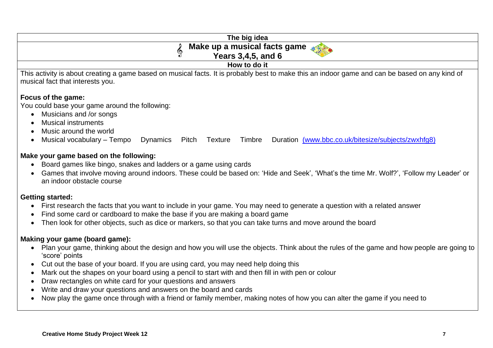| The big idea                                                                                                                                                                                                                                                                      |
|-----------------------------------------------------------------------------------------------------------------------------------------------------------------------------------------------------------------------------------------------------------------------------------|
| Make up a musical facts game                                                                                                                                                                                                                                                      |
| S<br><b>Years 3,4,5, and 6</b>                                                                                                                                                                                                                                                    |
| How to do it                                                                                                                                                                                                                                                                      |
| This activity is about creating a game based on musical facts. It is probably best to make this an indoor game and can be based on any kind of<br>musical fact that interests you.                                                                                                |
| Focus of the game:                                                                                                                                                                                                                                                                |
| You could base your game around the following:                                                                                                                                                                                                                                    |
| Musicians and /or songs<br>$\bullet$                                                                                                                                                                                                                                              |
| <b>Musical instruments</b>                                                                                                                                                                                                                                                        |
| Music around the world                                                                                                                                                                                                                                                            |
| Musical vocabulary - Tempo<br>Duration (www.bbc.co.uk/bitesize/subjects/zwxhfq8)<br><b>Dynamics</b><br>Pitch Texture<br>Timbre                                                                                                                                                    |
| Make your game based on the following:<br>Board games like bingo, snakes and ladders or a game using cards<br>Games that involve moving around indoors. These could be based on: 'Hide and Seek', 'What's the time Mr. Wolf?', 'Follow my Leader' or<br>an indoor obstacle course |
| <b>Getting started:</b>                                                                                                                                                                                                                                                           |
| First research the facts that you want to include in your game. You may need to generate a question with a related answer                                                                                                                                                         |
| Find some card or cardboard to make the base if you are making a board game                                                                                                                                                                                                       |
| Then look for other objects, such as dice or markers, so that you can take turns and move around the board<br>$\bullet$                                                                                                                                                           |
| Making your game (board game):                                                                                                                                                                                                                                                    |
| Plan your game, thinking about the design and how you will use the objects. Think about the rules of the game and how people are going to                                                                                                                                         |
| 'score' points                                                                                                                                                                                                                                                                    |
| Cut out the base of your board. If you are using card, you may need help doing this                                                                                                                                                                                               |

- Mark out the shapes on your board using a pencil to start with and then fill in with pen or colour
- Draw rectangles on white card for your questions and answers
- Write and draw your questions and answers on the board and cards
- Now play the game once through with a friend or family member, making notes of how you can alter the game if you need to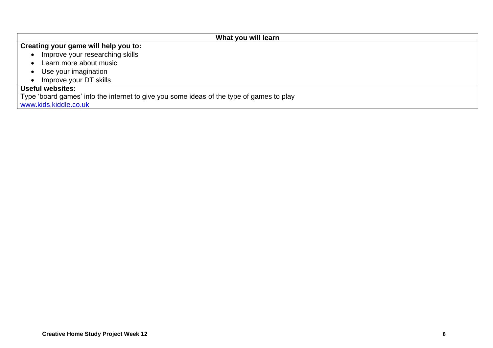#### **What you will learn Creating your game will help you to:** • Improve your researching skills • Learn more about music • Use your imagination • Improve your DT skills **Useful websites:** Type 'board games' into the internet to give you some ideas of the type of games to play [www.kids.kiddle.co.uk](http://www.kids.kiddle.co.uk/)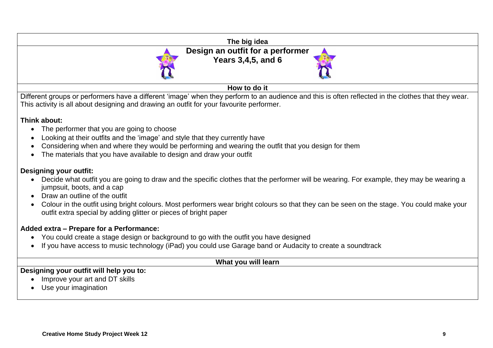| The big idea                                                                                                                                                           |
|------------------------------------------------------------------------------------------------------------------------------------------------------------------------|
| Design an outfit for a performer                                                                                                                                       |
| Years 3,4,5, and 6                                                                                                                                                     |
|                                                                                                                                                                        |
|                                                                                                                                                                        |
| How to do it                                                                                                                                                           |
| Different groups or performers have a different 'image' when they perform to an audience and this is often reflected in the clothes that they wear.                    |
| This activity is all about designing and drawing an outfit for your favourite performer.                                                                               |
| Think about:                                                                                                                                                           |
| The performer that you are going to choose                                                                                                                             |
| Looking at their outfits and the 'image' and style that they currently have                                                                                            |
| Considering when and where they would be performing and wearing the outfit that you design for them                                                                    |
| The materials that you have available to design and draw your outfit                                                                                                   |
|                                                                                                                                                                        |
| <b>Designing your outfit:</b>                                                                                                                                          |
| Decide what outfit you are going to draw and the specific clothes that the performer will be wearing. For example, they may be wearing a<br>jumpsuit, boots, and a cap |
| Draw an outline of the outfit                                                                                                                                          |
| Colour in the outfit using bright colours. Most performers wear bright colours so that they can be seen on the stage. You could make your                              |
| outfit extra special by adding glitter or pieces of bright paper                                                                                                       |
|                                                                                                                                                                        |
| Added extra - Prepare for a Performance:                                                                                                                               |
| • You could create a stage design or background to go with the outfit you have designed                                                                                |
| If you have access to music technology (iPad) you could use Garage band or Audacity to create a soundtrack                                                             |
| What you will learn                                                                                                                                                    |
| Designing your outfit will help you to:                                                                                                                                |
| Improve your art and DT skills                                                                                                                                         |
| Use your imagination                                                                                                                                                   |
|                                                                                                                                                                        |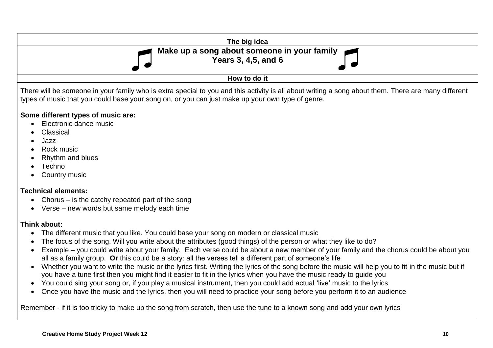

- Classical
- Jazz
- Rock music
- Rhythm and blues
- Techno
- Country music

#### **Technical elements:**

- Chorus is the catchy repeated part of the song
- Verse new words but same melody each time

#### **Think about:**

- The different music that you like. You could base your song on modern or classical music
- The focus of the song. Will you write about the attributes (good things) of the person or what they like to do?
- Example you could write about your family. Each verse could be about a new member of your family and the chorus could be about you all as a family group. **Or** this could be a story: all the verses tell a different part of someone's life
- Whether you want to write the music or the lyrics first. Writing the lyrics of the song before the music will help you to fit in the music but if you have a tune first then you might find it easier to fit in the lyrics when you have the music ready to guide you
- You could sing your song or, if you play a musical instrument, then you could add actual 'live' music to the lyrics
- Once you have the music and the lyrics, then you will need to practice your song before you perform it to an audience

Remember - if it is too tricky to make up the song from scratch, then use the tune to a known song and add your own lyrics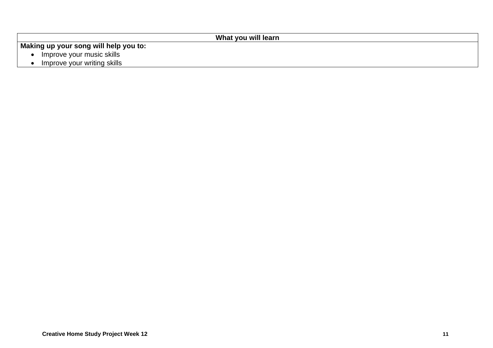#### **What you will learn**

**Making up your song will help you to:**

- Improve your music skills
- Improve your writing skills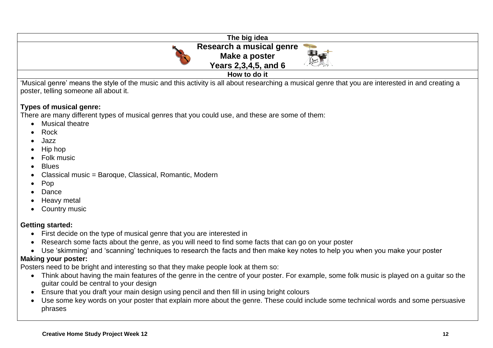| The big idea                                                                                                                                        |
|-----------------------------------------------------------------------------------------------------------------------------------------------------|
| Research a musical genre                                                                                                                            |
| Make a poster<br>Drung                                                                                                                              |
| Years 2,3,4,5, and 6                                                                                                                                |
| How to do it                                                                                                                                        |
| critician annotation and the property of the music specification is all about researching a musical genre that you are interested in and creating a |

'Musical genre' means the style of the music and this activity is all about researching a musical genre that you are interested in and creating a poster, telling someone all about it.

#### **Types of musical genre:**

There are many different types of musical genres that you could use, and these are some of them:

- Musical theatre
- Rock
- Jazz
- Hip hop
- Folk music
- Blues
- Classical music = Baroque, Classical, Romantic, Modern
- Pop
- Dance
- Heavy metal
- **Country music**

#### **Getting started:**

- First decide on the type of musical genre that you are interested in
- Research some facts about the genre, as you will need to find some facts that can go on your poster
- Use 'skimming' and 'scanning' techniques to research the facts and then make key notes to help you when you make your poster

#### **Making your poster:**

Posters need to be bright and interesting so that they make people look at them so:

- Think about having the main features of the genre in the centre of your poster. For example, some folk music is played on a guitar so the guitar could be central to your design
- Ensure that you draft your main design using pencil and then fill in using bright colours
- Use some key words on your poster that explain more about the genre. These could include some technical words and some persuasive phrases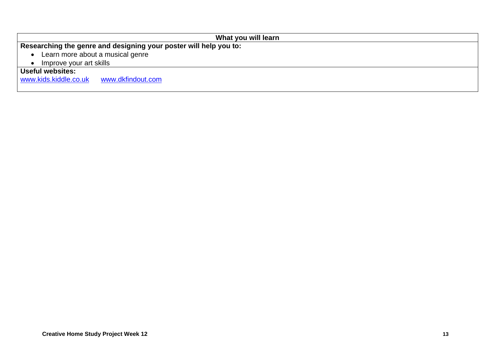|                                                  | What you will learn                                               |
|--------------------------------------------------|-------------------------------------------------------------------|
|                                                  | Researching the genre and designing your poster will help you to: |
| Learn more about a musical genre                 |                                                                   |
| Improve your art skills                          |                                                                   |
| <b>Useful websites:</b><br>www.kids.kiddle.co.uk | www.dkfindout.com                                                 |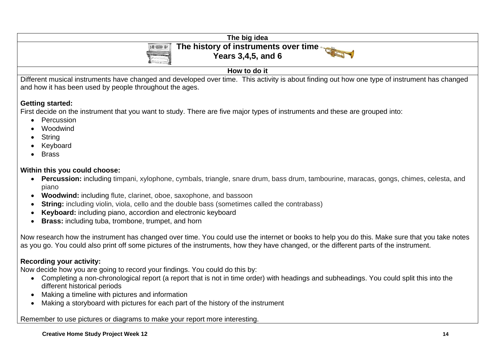| The big idea                                                                                                                                                                                                       |
|--------------------------------------------------------------------------------------------------------------------------------------------------------------------------------------------------------------------|
| The history of instruments over time<br>$\left  \begin{array}{cc} \textcircled{\color{blue}0} & \textcircled{\color{blue}0} \end{array} \right $<br><b>Years 3,4,5, and 6</b><br><b>Contract Contract Contract</b> |
| How to do it                                                                                                                                                                                                       |
| ----<br>.<br>____                                                                                                                                                                                                  |

Different musical instruments have changed and developed over time. This activity is about finding out how one type of instrument has changed and how it has been used by people throughout the ages.

#### **Getting started:**

First decide on the instrument that you want to study. There are five major types of instruments and these are grouped into:

- Percussion
- Woodwind
- String
- **Keyboard**
- Brass

#### **Within this you could choose:**

- **Percussion:** including timpani, xylophone, cymbals, triangle, snare drum, bass drum, tambourine, maracas, gongs, chimes, celesta, and piano
- **Woodwind:** including flute, clarinet, oboe, saxophone, and bassoon
- **String:** including violin, viola, cello and the double bass (sometimes called the contrabass)
- **Keyboard:** including piano, accordion and electronic keyboard
- **Brass:** including tuba, trombone, trumpet, and horn

Now research how the instrument has changed over time. You could use the internet or books to help you do this. Make sure that you take notes as you go. You could also print off some pictures of the instruments, how they have changed, or the different parts of the instrument.

#### **Recording your activity:**

Now decide how you are going to record your findings. You could do this by:

- Completing a non-chronological report (a report that is not in time order) with headings and subheadings. You could split this into the different historical periods
- Making a timeline with pictures and information
- Making a storyboard with pictures for each part of the history of the instrument

Remember to use pictures or diagrams to make your report more interesting.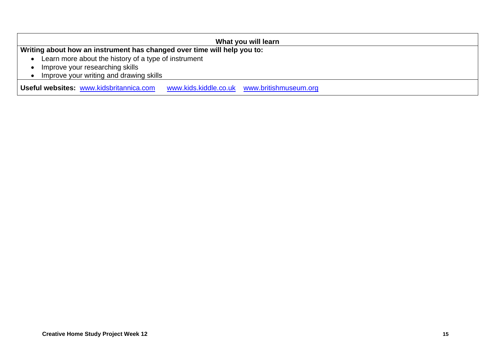| What you will learn                                                                    |
|----------------------------------------------------------------------------------------|
| Writing about how an instrument has changed over time will help you to:                |
| Learn more about the history of a type of instrument                                   |
| Improve your researching skills                                                        |
| Improve your writing and drawing skills                                                |
| Useful websites: www.kidsbritannica.com<br>www.kids.kiddle.co.uk www.britishmuseum.org |